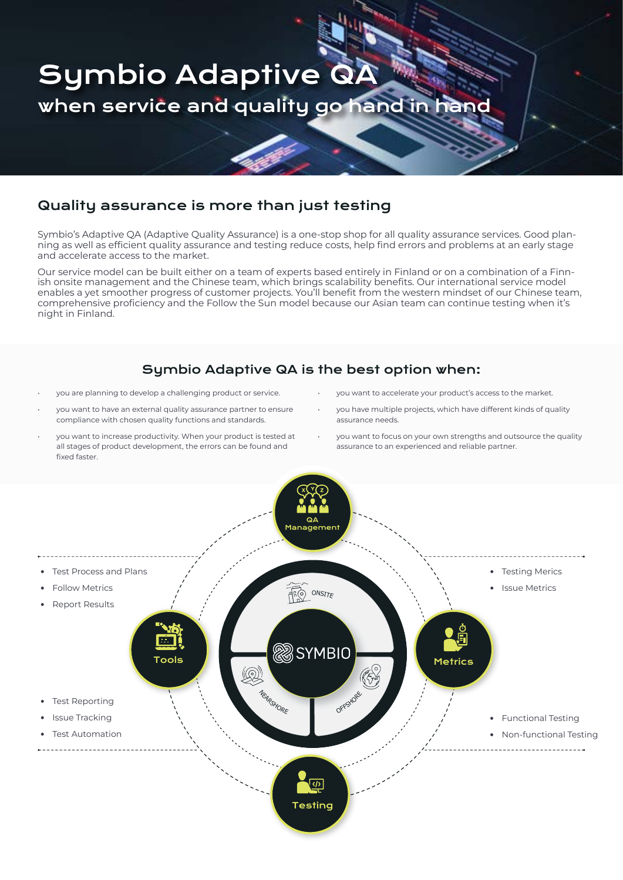

## Quality assurance is more than just testing

Symbio's Adaptive QA (Adaptive Quality Assurance) is a one-stop shop for all quality assurance services. Good planning as well as efficient quality assurance and testing reduce costs, help find errors and problems at an early stage and accelerate access to the market.

Our service model can be built either on a team of experts based entirely in Finland or on a combination of a Finnish onsite management and the Chinese team, which brings scalability benefits. Our international service model enables a yet smoother progress of customer projects. You'll benefit from the western mindset of our Chinese team, comprehensive proficiency and the Follow the Sun model because our Asian team can continue testing when it's night in Finland.

#### Symbio Adaptive QA is the best option when:

- you are planning to develop a challenging product or service.
- you want to have an external quality assurance partner to ensure compliance with chosen quality functions and standards.
- you want to increase productivity. When your product is tested at all stages of product development, the errors can be found and fixed faster.
- you want to accelerate your product's access to the market.
- you have multiple projects, which have different kinds of quality assurance needs.
- you want to focus on your own strengths and outsource the quality assurance to an experienced and reliable partner.